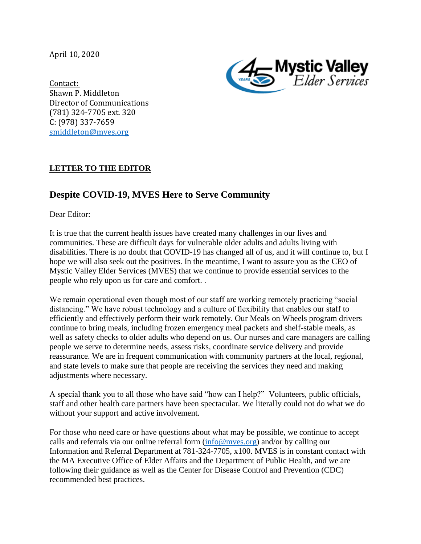April 10, 2020



Contact: Shawn P. Middleton Director of Communications (781) 324-7705 ext. 320 C: (978) 337-7659 [smiddleton@mves.org](mailto:smiddleton@mves.org) 

## **LETTER TO THE EDITOR**

## **Despite COVID-19, MVES Here to Serve Community**

Dear Editor:

It is true that the current health issues have created many challenges in our lives and communities. These are difficult days for vulnerable older adults and adults living with disabilities. There is no doubt that COVID-19 has changed all of us, and it will continue to, but I hope we will also seek out the positives. In the meantime, I want to assure you as the CEO of Mystic Valley Elder Services (MVES) that we continue to provide essential services to the people who rely upon us for care and comfort. .

We remain operational even though most of our staff are working remotely practicing "social" distancing." We have robust technology and a culture of flexibility that enables our staff to efficiently and effectively perform their work remotely. Our Meals on Wheels program drivers continue to bring meals, including frozen emergency meal packets and shelf-stable meals, as well as safety checks to older adults who depend on us. Our nurses and care managers are calling people we serve to determine needs, assess risks, coordinate service delivery and provide reassurance. We are in frequent communication with community partners at the local, regional, and state levels to make sure that people are receiving the services they need and making adjustments where necessary.

A special thank you to all those who have said "how can I help?" Volunteers, public officials, staff and other health care partners have been spectacular. We literally could not do what we do without your support and active involvement.

For those who need care or have questions about what may be possible, we continue to accept calls and referrals via our online referral form  $(info@mves.org)$  and/or by calling our Information and Referral Department at 781-324-7705, x100. MVES is in constant contact with the MA Executive Office of Elder Affairs and the Department of Public Health, and we are following their guidance as well as the Center for Disease Control and Prevention (CDC) recommended best practices.